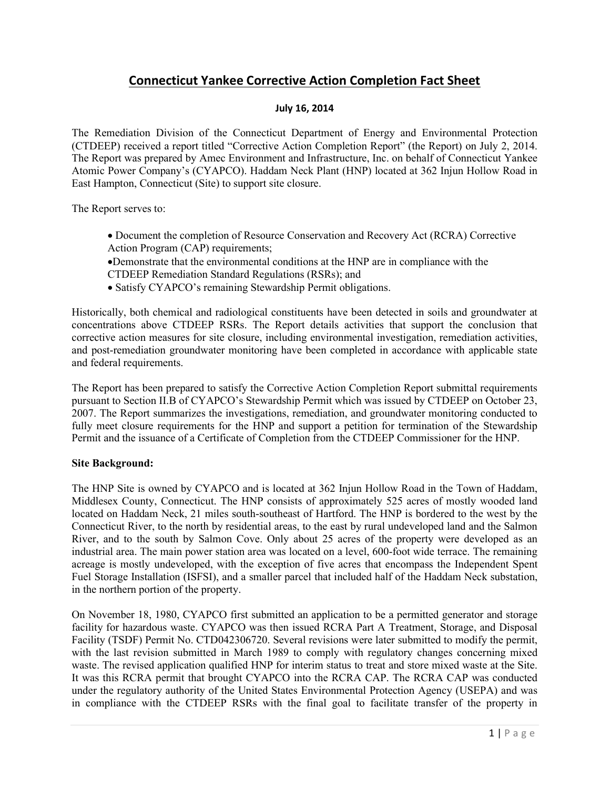# Connecticut Yankee Corrective Action Completion Fact Sheet

## July 16, 2014

The Remediation Division of the Connecticut Department of Energy and Environmental Protection (CTDEEP) received a report titled "Corrective Action Completion Report" (the Report) on July 2, 2014. The Report was prepared by Amec Environment and Infrastructure, Inc. on behalf of Connecticut Yankee Atomic Power Company's (CYAPCO). Haddam Neck Plant (HNP) located at 362 Injun Hollow Road in East Hampton, Connecticut (Site) to support site closure.

The Report serves to:

- Document the completion of Resource Conservation and Recovery Act (RCRA) Corrective Action Program (CAP) requirements;
- Demonstrate that the environmental conditions at the HNP are in compliance with the CTDEEP Remediation Standard Regulations (RSRs); and
- Satisfy CYAPCO's remaining Stewardship Permit obligations.

Historically, both chemical and radiological constituents have been detected in soils and groundwater at concentrations above CTDEEP RSRs. The Report details activities that support the conclusion that corrective action measures for site closure, including environmental investigation, remediation activities, and post-remediation groundwater monitoring have been completed in accordance with applicable state and federal requirements.

The Report has been prepared to satisfy the Corrective Action Completion Report submittal requirements pursuant to Section II.B of CYAPCO's Stewardship Permit which was issued by CTDEEP on October 23, 2007. The Report summarizes the investigations, remediation, and groundwater monitoring conducted to fully meet closure requirements for the HNP and support a petition for termination of the Stewardship Permit and the issuance of a Certificate of Completion from the CTDEEP Commissioner for the HNP.

### Site Background:

The HNP Site is owned by CYAPCO and is located at 362 Injun Hollow Road in the Town of Haddam, Middlesex County, Connecticut. The HNP consists of approximately 525 acres of mostly wooded land located on Haddam Neck, 21 miles south-southeast of Hartford. The HNP is bordered to the west by the Connecticut River, to the north by residential areas, to the east by rural undeveloped land and the Salmon River, and to the south by Salmon Cove. Only about 25 acres of the property were developed as an industrial area. The main power station area was located on a level, 600-foot wide terrace. The remaining acreage is mostly undeveloped, with the exception of five acres that encompass the Independent Spent Fuel Storage Installation (ISFSI), and a smaller parcel that included half of the Haddam Neck substation, in the northern portion of the property.

On November 18, 1980, CYAPCO first submitted an application to be a permitted generator and storage facility for hazardous waste. CYAPCO was then issued RCRA Part A Treatment, Storage, and Disposal Facility (TSDF) Permit No. CTD042306720. Several revisions were later submitted to modify the permit, with the last revision submitted in March 1989 to comply with regulatory changes concerning mixed waste. The revised application qualified HNP for interim status to treat and store mixed waste at the Site. It was this RCRA permit that brought CYAPCO into the RCRA CAP. The RCRA CAP was conducted under the regulatory authority of the United States Environmental Protection Agency (USEPA) and was in compliance with the CTDEEP RSRs with the final goal to facilitate transfer of the property in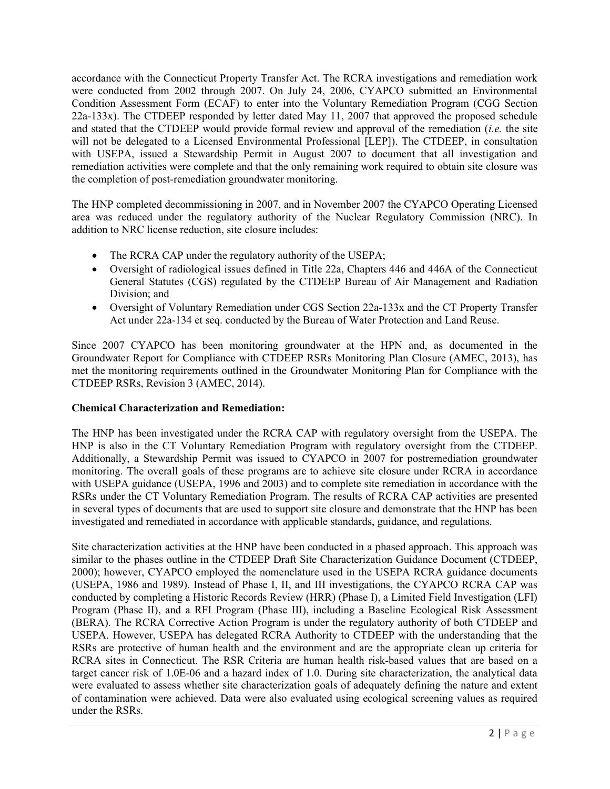accordance with the Connecticut Property Transfer Act. The RCRA investigations and remediation work were conducted from 2002 through 2007. On July 24, 2006, CYAPCO submitted an Environmental Condition Assessment Form (ECAF) to enter into the Voluntary Remediation Program (CGG Section 22a-133x). The CTDEEP responded by letter dated May 11, 2007 that approved the proposed schedule and stated that the CTDEEP would provide formal review and approval of the remediation (i.e. the site will not be delegated to a Licensed Environmental Professional [LEP]). The CTDEEP, in consultation with USEPA, issued a Stewardship Permit in August 2007 to document that all investigation and remediation activities were complete and that the only remaining work required to obtain site closure was the completion of post-remediation groundwater monitoring.

The HNP completed decommissioning in 2007, and in November 2007 the CYAPCO Operating Licensed area was reduced under the regulatory authority of the Nuclear Regulatory Commission (NRC). In addition to NRC license reduction, site closure includes:

- The RCRA CAP under the regulatory authority of the USEPA;
- Oversight of radiological issues defined in Title 22a, Chapters 446 and 446A of the Connecticut General Statutes (CGS) regulated by the CTDEEP Bureau of Air Management and Radiation Division; and
- Oversight of Voluntary Remediation under CGS Section 22a-133x and the CT Property Transfer Act under 22a-134 et seq. conducted by the Bureau of Water Protection and Land Reuse.

Since 2007 CYAPCO has been monitoring groundwater at the HPN and, as documented in the Groundwater Report for Compliance with CTDEEP RSRs Monitoring Plan Closure (AMEC, 2013), has met the monitoring requirements outlined in the Groundwater Monitoring Plan for Compliance with the CTDEEP RSRs, Revision 3 (AMEC, 2014).

# Chemical Characterization and Remediation:

The HNP has been investigated under the RCRA CAP with regulatory oversight from the USEPA. The HNP is also in the CT Voluntary Remediation Program with regulatory oversight from the CTDEEP. Additionally, a Stewardship Permit was issued to CYAPCO in 2007 for postremediation groundwater monitoring. The overall goals of these programs are to achieve site closure under RCRA in accordance with USEPA guidance (USEPA, 1996 and 2003) and to complete site remediation in accordance with the RSRs under the CT Voluntary Remediation Program. The results of RCRA CAP activities are presented in several types of documents that are used to support site closure and demonstrate that the HNP has been investigated and remediated in accordance with applicable standards, guidance, and regulations.

Site characterization activities at the HNP have been conducted in a phased approach. This approach was similar to the phases outline in the CTDEEP Draft Site Characterization Guidance Document (CTDEEP, 2000); however, CYAPCO employed the nomenclature used in the USEPA RCRA guidance documents (USEPA, 1986 and 1989). Instead of Phase I, II, and III investigations, the CYAPCO RCRA CAP was conducted by completing a Historic Records Review (HRR) (Phase I), a Limited Field Investigation (LFI) Program (Phase II), and a RFI Program (Phase III), including a Baseline Ecological Risk Assessment (BERA). The RCRA Corrective Action Program is under the regulatory authority of both CTDEEP and USEPA. However, USEPA has delegated RCRA Authority to CTDEEP with the understanding that the RSRs are protective of human health and the environment and are the appropriate clean up criteria for RCRA sites in Connecticut. The RSR Criteria are human health risk-based values that are based on a target cancer risk of 1.0E-06 and a hazard index of 1.0. During site characterization, the analytical data were evaluated to assess whether site characterization goals of adequately defining the nature and extent of contamination were achieved. Data were also evaluated using ecological screening values as required under the RSRs.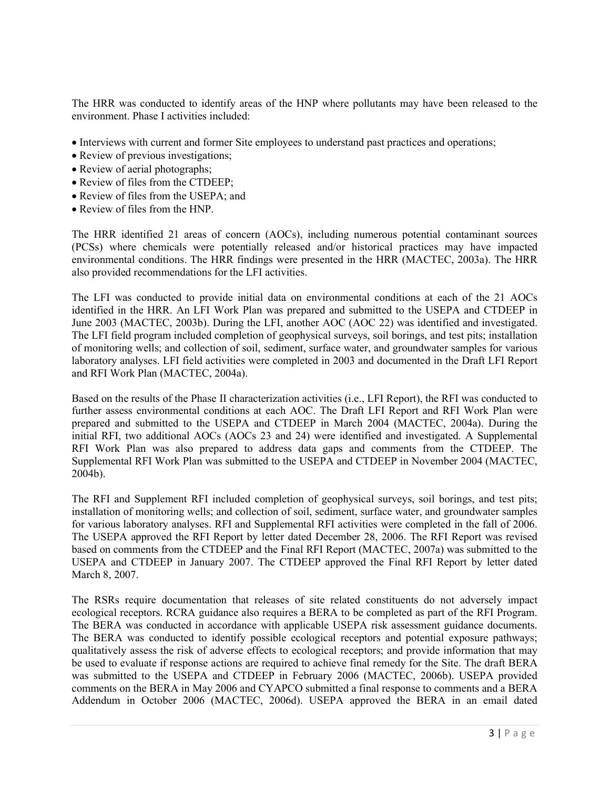The HRR was conducted to identify areas of the HNP where pollutants may have been released to the environment. Phase I activities included:

- Interviews with current and former Site employees to understand past practices and operations;
- Review of previous investigations;
- Review of aerial photographs;
- Review of files from the CTDEEP:
- Review of files from the USEPA; and
- Review of files from the HNP.

The HRR identified 21 areas of concern (AOCs), including numerous potential contaminant sources (PCSs) where chemicals were potentially released and/or historical practices may have impacted environmental conditions. The HRR findings were presented in the HRR (MACTEC, 2003a). The HRR also provided recommendations for the LFI activities.

The LFI was conducted to provide initial data on environmental conditions at each of the 21 AOCs identified in the HRR. An LFI Work Plan was prepared and submitted to the USEPA and CTDEEP in June 2003 (MACTEC, 2003b). During the LFI, another AOC (AOC 22) was identified and investigated. The LFI field program included completion of geophysical surveys, soil borings, and test pits; installation of monitoring wells; and collection of soil, sediment, surface water, and groundwater samples for various laboratory analyses. LFI field activities were completed in 2003 and documented in the Draft LFI Report and RFI Work Plan (MACTEC, 2004a).

Based on the results of the Phase II characterization activities (i.e., LFI Report), the RFI was conducted to further assess environmental conditions at each AOC. The Draft LFI Report and RFI Work Plan were prepared and submitted to the USEPA and CTDEEP in March 2004 (MACTEC, 2004a). During the initial RFI, two additional AOCs (AOCs 23 and 24) were identified and investigated. A Supplemental RFI Work Plan was also prepared to address data gaps and comments from the CTDEEP. The Supplemental RFI Work Plan was submitted to the USEPA and CTDEEP in November 2004 (MACTEC, 2004b).

The RFI and Supplement RFI included completion of geophysical surveys, soil borings, and test pits; installation of monitoring wells; and collection of soil, sediment, surface water, and groundwater samples for various laboratory analyses. RFI and Supplemental RFI activities were completed in the fall of 2006. The USEPA approved the RFI Report by letter dated December 28, 2006. The RFI Report was revised based on comments from the CTDEEP and the Final RFI Report (MACTEC, 2007a) was submitted to the USEPA and CTDEEP in January 2007. The CTDEEP approved the Final RFI Report by letter dated March 8, 2007.

The RSRs require documentation that releases of site related constituents do not adversely impact ecological receptors. RCRA guidance also requires a BERA to be completed as part of the RFI Program. The BERA was conducted in accordance with applicable USEPA risk assessment guidance documents. The BERA was conducted to identify possible ecological receptors and potential exposure pathways; qualitatively assess the risk of adverse effects to ecological receptors; and provide information that may be used to evaluate if response actions are required to achieve final remedy for the Site. The draft BERA was submitted to the USEPA and CTDEEP in February 2006 (MACTEC, 2006b). USEPA provided comments on the BERA in May 2006 and CYAPCO submitted a final response to comments and a BERA Addendum in October 2006 (MACTEC, 2006d). USEPA approved the BERA in an email dated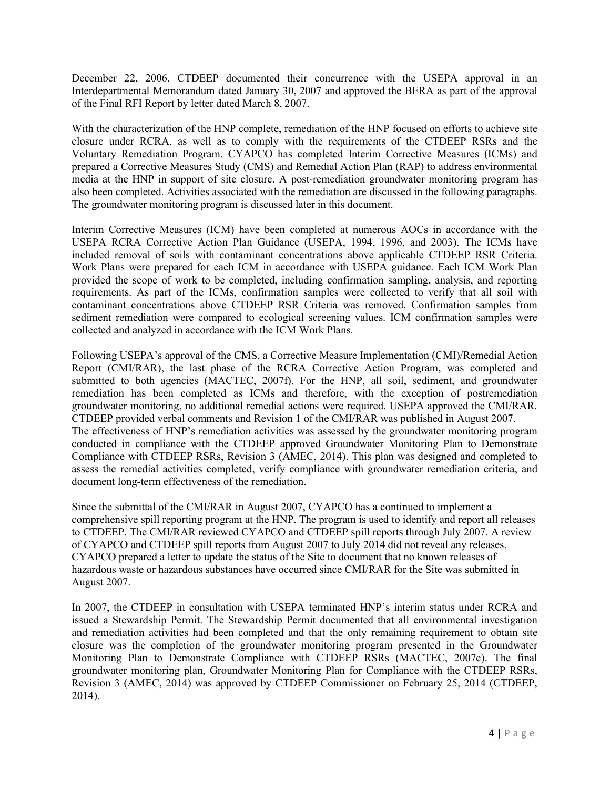December 22, 2006. CTDEEP documented their concurrence with the USEPA approval in an Interdepartmental Memorandum dated January 30, 2007 and approved the BERA as part of the approval of the Final RFI Report by letter dated March 8, 2007.

With the characterization of the HNP complete, remediation of the HNP focused on efforts to achieve site closure under RCRA, as well as to comply with the requirements of the CTDEEP RSRs and the Voluntary Remediation Program. CYAPCO has completed Interim Corrective Measures (ICMs) and prepared a Corrective Measures Study (CMS) and Remedial Action Plan (RAP) to address environmental media at the HNP in support of site closure. A post-remediation groundwater monitoring program has also been completed. Activities associated with the remediation are discussed in the following paragraphs. The groundwater monitoring program is discussed later in this document.

Interim Corrective Measures (ICM) have been completed at numerous AOCs in accordance with the USEPA RCRA Corrective Action Plan Guidance (USEPA, 1994, 1996, and 2003). The ICMs have included removal of soils with contaminant concentrations above applicable CTDEEP RSR Criteria. Work Plans were prepared for each ICM in accordance with USEPA guidance. Each ICM Work Plan provided the scope of work to be completed, including confirmation sampling, analysis, and reporting requirements. As part of the ICMs, confirmation samples were collected to verify that all soil with contaminant concentrations above CTDEEP RSR Criteria was removed. Confirmation samples from sediment remediation were compared to ecological screening values. ICM confirmation samples were collected and analyzed in accordance with the ICM Work Plans.

Following USEPA's approval of the CMS, a Corrective Measure Implementation (CMI)/Remedial Action Report (CMI/RAR), the last phase of the RCRA Corrective Action Program, was completed and submitted to both agencies (MACTEC, 2007f). For the HNP, all soil, sediment, and groundwater remediation has been completed as ICMs and therefore, with the exception of postremediation groundwater monitoring, no additional remedial actions were required. USEPA approved the CMI/RAR. CTDEEP provided verbal comments and Revision 1 of the CMI/RAR was published in August 2007. The effectiveness of HNP's remediation activities was assessed by the groundwater monitoring program conducted in compliance with the CTDEEP approved Groundwater Monitoring Plan to Demonstrate Compliance with CTDEEP RSRs, Revision 3 (AMEC, 2014). This plan was designed and completed to assess the remedial activities completed, verify compliance with groundwater remediation criteria, and document long-term effectiveness of the remediation.

Since the submittal of the CMI/RAR in August 2007, CYAPCO has a continued to implement a comprehensive spill reporting program at the HNP. The program is used to identify and report all releases to CTDEEP. The CMI/RAR reviewed CYAPCO and CTDEEP spill reports through July 2007. A review of CYAPCO and CTDEEP spill reports from August 2007 to July 2014 did not reveal any releases. CYAPCO prepared a letter to update the status of the Site to document that no known releases of hazardous waste or hazardous substances have occurred since CMI/RAR for the Site was submitted in August 2007.

In 2007, the CTDEEP in consultation with USEPA terminated HNP's interim status under RCRA and issued a Stewardship Permit. The Stewardship Permit documented that all environmental investigation and remediation activities had been completed and that the only remaining requirement to obtain site closure was the completion of the groundwater monitoring program presented in the Groundwater Monitoring Plan to Demonstrate Compliance with CTDEEP RSRs (MACTEC, 2007c). The final groundwater monitoring plan, Groundwater Monitoring Plan for Compliance with the CTDEEP RSRs, Revision 3 (AMEC, 2014) was approved by CTDEEP Commissioner on February 25, 2014 (CTDEEP, 2014).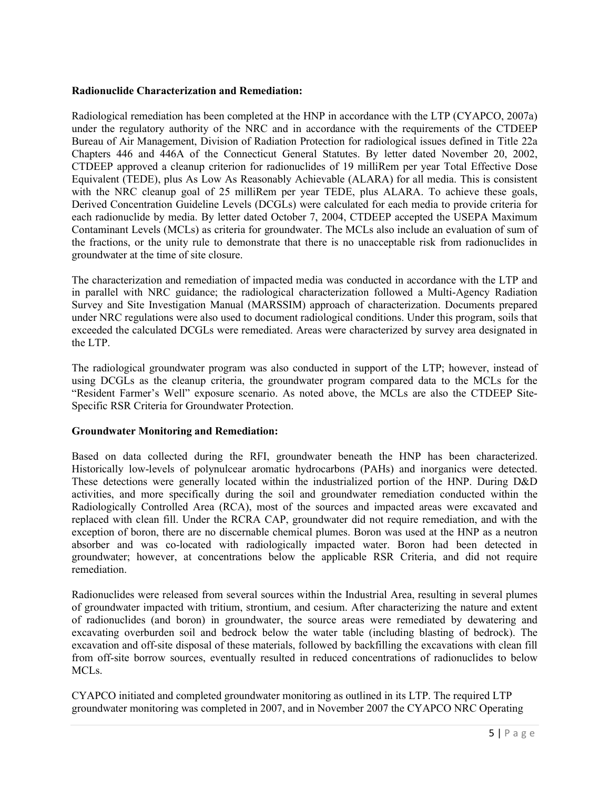## Radionuclide Characterization and Remediation:

Radiological remediation has been completed at the HNP in accordance with the LTP (CYAPCO, 2007a) under the regulatory authority of the NRC and in accordance with the requirements of the CTDEEP Bureau of Air Management, Division of Radiation Protection for radiological issues defined in Title 22a Chapters 446 and 446A of the Connecticut General Statutes. By letter dated November 20, 2002, CTDEEP approved a cleanup criterion for radionuclides of 19 milliRem per year Total Effective Dose Equivalent (TEDE), plus As Low As Reasonably Achievable (ALARA) for all media. This is consistent with the NRC cleanup goal of 25 milliRem per year TEDE, plus ALARA. To achieve these goals, Derived Concentration Guideline Levels (DCGLs) were calculated for each media to provide criteria for each radionuclide by media. By letter dated October 7, 2004, CTDEEP accepted the USEPA Maximum Contaminant Levels (MCLs) as criteria for groundwater. The MCLs also include an evaluation of sum of the fractions, or the unity rule to demonstrate that there is no unacceptable risk from radionuclides in groundwater at the time of site closure.

The characterization and remediation of impacted media was conducted in accordance with the LTP and in parallel with NRC guidance; the radiological characterization followed a Multi-Agency Radiation Survey and Site Investigation Manual (MARSSIM) approach of characterization. Documents prepared under NRC regulations were also used to document radiological conditions. Under this program, soils that exceeded the calculated DCGLs were remediated. Areas were characterized by survey area designated in the LTP.

The radiological groundwater program was also conducted in support of the LTP; however, instead of using DCGLs as the cleanup criteria, the groundwater program compared data to the MCLs for the "Resident Farmer's Well" exposure scenario. As noted above, the MCLs are also the CTDEEP Site-Specific RSR Criteria for Groundwater Protection.

### Groundwater Monitoring and Remediation:

Based on data collected during the RFI, groundwater beneath the HNP has been characterized. Historically low-levels of polynulcear aromatic hydrocarbons (PAHs) and inorganics were detected. These detections were generally located within the industrialized portion of the HNP. During D&D activities, and more specifically during the soil and groundwater remediation conducted within the Radiologically Controlled Area (RCA), most of the sources and impacted areas were excavated and replaced with clean fill. Under the RCRA CAP, groundwater did not require remediation, and with the exception of boron, there are no discernable chemical plumes. Boron was used at the HNP as a neutron absorber and was co-located with radiologically impacted water. Boron had been detected in groundwater; however, at concentrations below the applicable RSR Criteria, and did not require remediation.

Radionuclides were released from several sources within the Industrial Area, resulting in several plumes of groundwater impacted with tritium, strontium, and cesium. After characterizing the nature and extent of radionuclides (and boron) in groundwater, the source areas were remediated by dewatering and excavating overburden soil and bedrock below the water table (including blasting of bedrock). The excavation and off-site disposal of these materials, followed by backfilling the excavations with clean fill from off-site borrow sources, eventually resulted in reduced concentrations of radionuclides to below MCLs.

CYAPCO initiated and completed groundwater monitoring as outlined in its LTP. The required LTP groundwater monitoring was completed in 2007, and in November 2007 the CYAPCO NRC Operating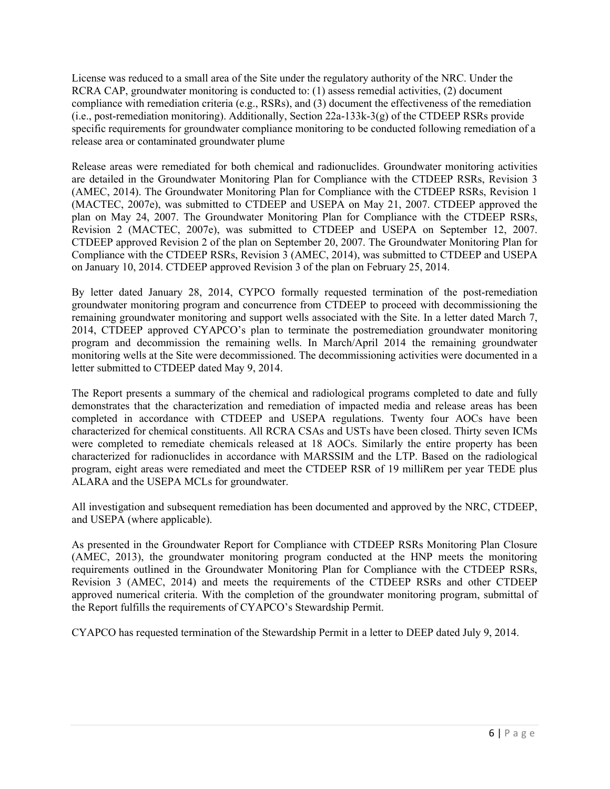License was reduced to a small area of the Site under the regulatory authority of the NRC. Under the RCRA CAP, groundwater monitoring is conducted to: (1) assess remedial activities, (2) document compliance with remediation criteria (e.g., RSRs), and (3) document the effectiveness of the remediation (i.e., post-remediation monitoring). Additionally, Section 22a-133k-3(g) of the CTDEEP RSRs provide specific requirements for groundwater compliance monitoring to be conducted following remediation of a release area or contaminated groundwater plume

Release areas were remediated for both chemical and radionuclides. Groundwater monitoring activities are detailed in the Groundwater Monitoring Plan for Compliance with the CTDEEP RSRs, Revision 3 (AMEC, 2014). The Groundwater Monitoring Plan for Compliance with the CTDEEP RSRs, Revision 1 (MACTEC, 2007e), was submitted to CTDEEP and USEPA on May 21, 2007. CTDEEP approved the plan on May 24, 2007. The Groundwater Monitoring Plan for Compliance with the CTDEEP RSRs, Revision 2 (MACTEC, 2007e), was submitted to CTDEEP and USEPA on September 12, 2007. CTDEEP approved Revision 2 of the plan on September 20, 2007. The Groundwater Monitoring Plan for Compliance with the CTDEEP RSRs, Revision 3 (AMEC, 2014), was submitted to CTDEEP and USEPA on January 10, 2014. CTDEEP approved Revision 3 of the plan on February 25, 2014.

By letter dated January 28, 2014, CYPCO formally requested termination of the post-remediation groundwater monitoring program and concurrence from CTDEEP to proceed with decommissioning the remaining groundwater monitoring and support wells associated with the Site. In a letter dated March 7, 2014, CTDEEP approved CYAPCO's plan to terminate the postremediation groundwater monitoring program and decommission the remaining wells. In March/April 2014 the remaining groundwater monitoring wells at the Site were decommissioned. The decommissioning activities were documented in a letter submitted to CTDEEP dated May 9, 2014.

The Report presents a summary of the chemical and radiological programs completed to date and fully demonstrates that the characterization and remediation of impacted media and release areas has been completed in accordance with CTDEEP and USEPA regulations. Twenty four AOCs have been characterized for chemical constituents. All RCRA CSAs and USTs have been closed. Thirty seven ICMs were completed to remediate chemicals released at 18 AOCs. Similarly the entire property has been characterized for radionuclides in accordance with MARSSIM and the LTP. Based on the radiological program, eight areas were remediated and meet the CTDEEP RSR of 19 milliRem per year TEDE plus ALARA and the USEPA MCLs for groundwater.

All investigation and subsequent remediation has been documented and approved by the NRC, CTDEEP, and USEPA (where applicable).

As presented in the Groundwater Report for Compliance with CTDEEP RSRs Monitoring Plan Closure (AMEC, 2013), the groundwater monitoring program conducted at the HNP meets the monitoring requirements outlined in the Groundwater Monitoring Plan for Compliance with the CTDEEP RSRs, Revision 3 (AMEC, 2014) and meets the requirements of the CTDEEP RSRs and other CTDEEP approved numerical criteria. With the completion of the groundwater monitoring program, submittal of the Report fulfills the requirements of CYAPCO's Stewardship Permit.

CYAPCO has requested termination of the Stewardship Permit in a letter to DEEP dated July 9, 2014.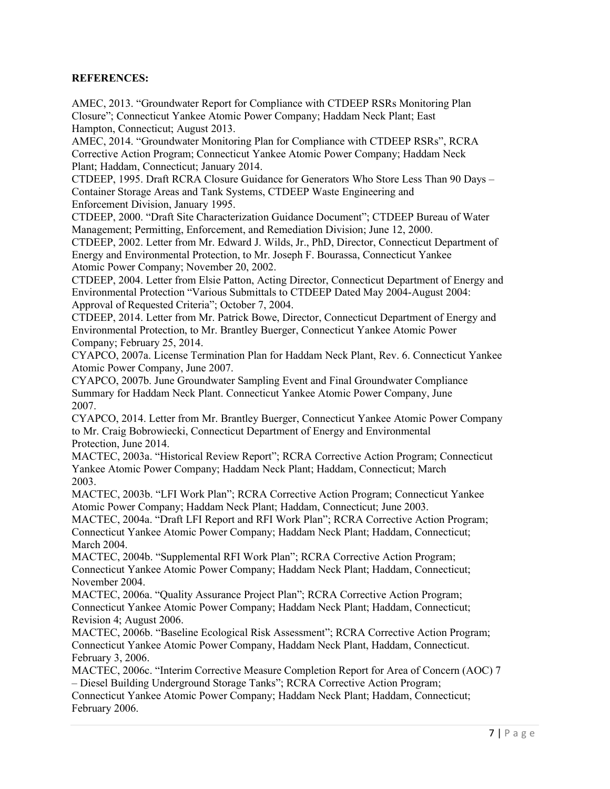# REFERENCES:

AMEC, 2013. "Groundwater Report for Compliance with CTDEEP RSRs Monitoring Plan Closure"; Connecticut Yankee Atomic Power Company; Haddam Neck Plant; East Hampton, Connecticut; August 2013.

AMEC, 2014. "Groundwater Monitoring Plan for Compliance with CTDEEP RSRs", RCRA Corrective Action Program; Connecticut Yankee Atomic Power Company; Haddam Neck Plant; Haddam, Connecticut; January 2014.

CTDEEP, 1995. Draft RCRA Closure Guidance for Generators Who Store Less Than 90 Days – Container Storage Areas and Tank Systems, CTDEEP Waste Engineering and Enforcement Division, January 1995.

CTDEEP, 2000. "Draft Site Characterization Guidance Document"; CTDEEP Bureau of Water Management; Permitting, Enforcement, and Remediation Division; June 12, 2000.

CTDEEP, 2002. Letter from Mr. Edward J. Wilds, Jr., PhD, Director, Connecticut Department of Energy and Environmental Protection, to Mr. Joseph F. Bourassa, Connecticut Yankee Atomic Power Company; November 20, 2002.

CTDEEP, 2004. Letter from Elsie Patton, Acting Director, Connecticut Department of Energy and Environmental Protection "Various Submittals to CTDEEP Dated May 2004-August 2004: Approval of Requested Criteria"; October 7, 2004.

CTDEEP, 2014. Letter from Mr. Patrick Bowe, Director, Connecticut Department of Energy and Environmental Protection, to Mr. Brantley Buerger, Connecticut Yankee Atomic Power Company; February 25, 2014.

CYAPCO, 2007a. License Termination Plan for Haddam Neck Plant, Rev. 6. Connecticut Yankee Atomic Power Company, June 2007.

CYAPCO, 2007b. June Groundwater Sampling Event and Final Groundwater Compliance Summary for Haddam Neck Plant. Connecticut Yankee Atomic Power Company, June 2007.

CYAPCO, 2014. Letter from Mr. Brantley Buerger, Connecticut Yankee Atomic Power Company to Mr. Craig Bobrowiecki, Connecticut Department of Energy and Environmental Protection, June 2014.

MACTEC, 2003a. "Historical Review Report"; RCRA Corrective Action Program; Connecticut Yankee Atomic Power Company; Haddam Neck Plant; Haddam, Connecticut; March 2003.

MACTEC, 2003b. "LFI Work Plan"; RCRA Corrective Action Program; Connecticut Yankee Atomic Power Company; Haddam Neck Plant; Haddam, Connecticut; June 2003.

MACTEC, 2004a. "Draft LFI Report and RFI Work Plan"; RCRA Corrective Action Program; Connecticut Yankee Atomic Power Company; Haddam Neck Plant; Haddam, Connecticut; March 2004.

MACTEC, 2004b. "Supplemental RFI Work Plan"; RCRA Corrective Action Program; Connecticut Yankee Atomic Power Company; Haddam Neck Plant; Haddam, Connecticut; November 2004.

MACTEC, 2006a. "Quality Assurance Project Plan"; RCRA Corrective Action Program; Connecticut Yankee Atomic Power Company; Haddam Neck Plant; Haddam, Connecticut; Revision 4; August 2006.

MACTEC, 2006b. "Baseline Ecological Risk Assessment"; RCRA Corrective Action Program; Connecticut Yankee Atomic Power Company, Haddam Neck Plant, Haddam, Connecticut. February 3, 2006.

MACTEC, 2006c. "Interim Corrective Measure Completion Report for Area of Concern (AOC) 7 – Diesel Building Underground Storage Tanks"; RCRA Corrective Action Program;

Connecticut Yankee Atomic Power Company; Haddam Neck Plant; Haddam, Connecticut; February 2006.